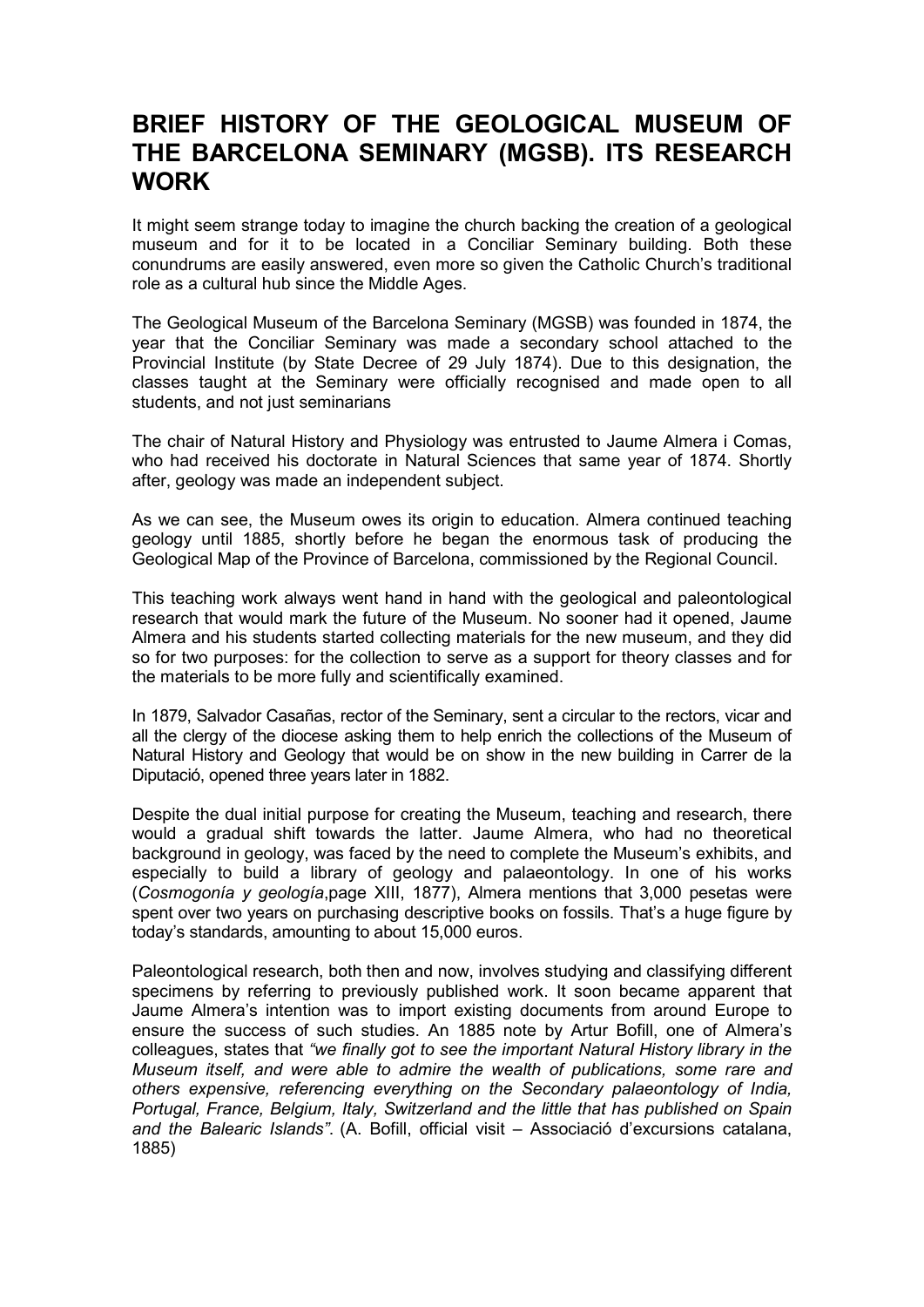## BRIEF HISTORY OF THE GEOLOGICAL MUSEUM OF THE BARCELONA SEMINARY (MGSB). ITS RESEARCH WORK

It might seem strange today to imagine the church backing the creation of a geological museum and for it to be located in a Conciliar Seminary building. Both these conundrums are easily answered, even more so given the Catholic Church's traditional role as a cultural hub since the Middle Ages.

The Geological Museum of the Barcelona Seminary (MGSB) was founded in 1874, the year that the Conciliar Seminary was made a secondary school attached to the Provincial Institute (by State Decree of 29 July 1874). Due to this designation, the classes taught at the Seminary were officially recognised and made open to all students, and not just seminarians

The chair of Natural History and Physiology was entrusted to Jaume Almera i Comas, who had received his doctorate in Natural Sciences that same year of 1874. Shortly after, geology was made an independent subject.

As we can see, the Museum owes its origin to education. Almera continued teaching geology until 1885, shortly before he began the enormous task of producing the Geological Map of the Province of Barcelona, commissioned by the Regional Council.

This teaching work always went hand in hand with the geological and paleontological research that would mark the future of the Museum. No sooner had it opened, Jaume Almera and his students started collecting materials for the new museum, and they did so for two purposes: for the collection to serve as a support for theory classes and for the materials to be more fully and scientifically examined.

In 1879, Salvador Casañas, rector of the Seminary, sent a circular to the rectors, vicar and all the clergy of the diocese asking them to help enrich the collections of the Museum of Natural History and Geology that would be on show in the new building in Carrer de la Diputació, opened three years later in 1882.

Despite the dual initial purpose for creating the Museum, teaching and research, there would a gradual shift towards the latter. Jaume Almera, who had no theoretical background in geology, was faced by the need to complete the Museum's exhibits, and especially to build a library of geology and palaeontology. In one of his works (Cosmogonía y geología,page XIII, 1877), Almera mentions that 3,000 pesetas were spent over two years on purchasing descriptive books on fossils. That's a huge figure by today's standards, amounting to about 15,000 euros.

Paleontological research, both then and now, involves studying and classifying different specimens by referring to previously published work. It soon became apparent that Jaume Almera's intention was to import existing documents from around Europe to ensure the success of such studies. An 1885 note by Artur Bofill, one of Almera's colleagues, states that "we finally got to see the important Natural History library in the Museum itself, and were able to admire the wealth of publications, some rare and others expensive, referencing everything on the Secondary palaeontology of India, Portugal, France, Belgium, Italy, Switzerland and the little that has published on Spain and the Balearic Islands". (A. Bofill, official visit – Associació d'excursions catalana, 1885)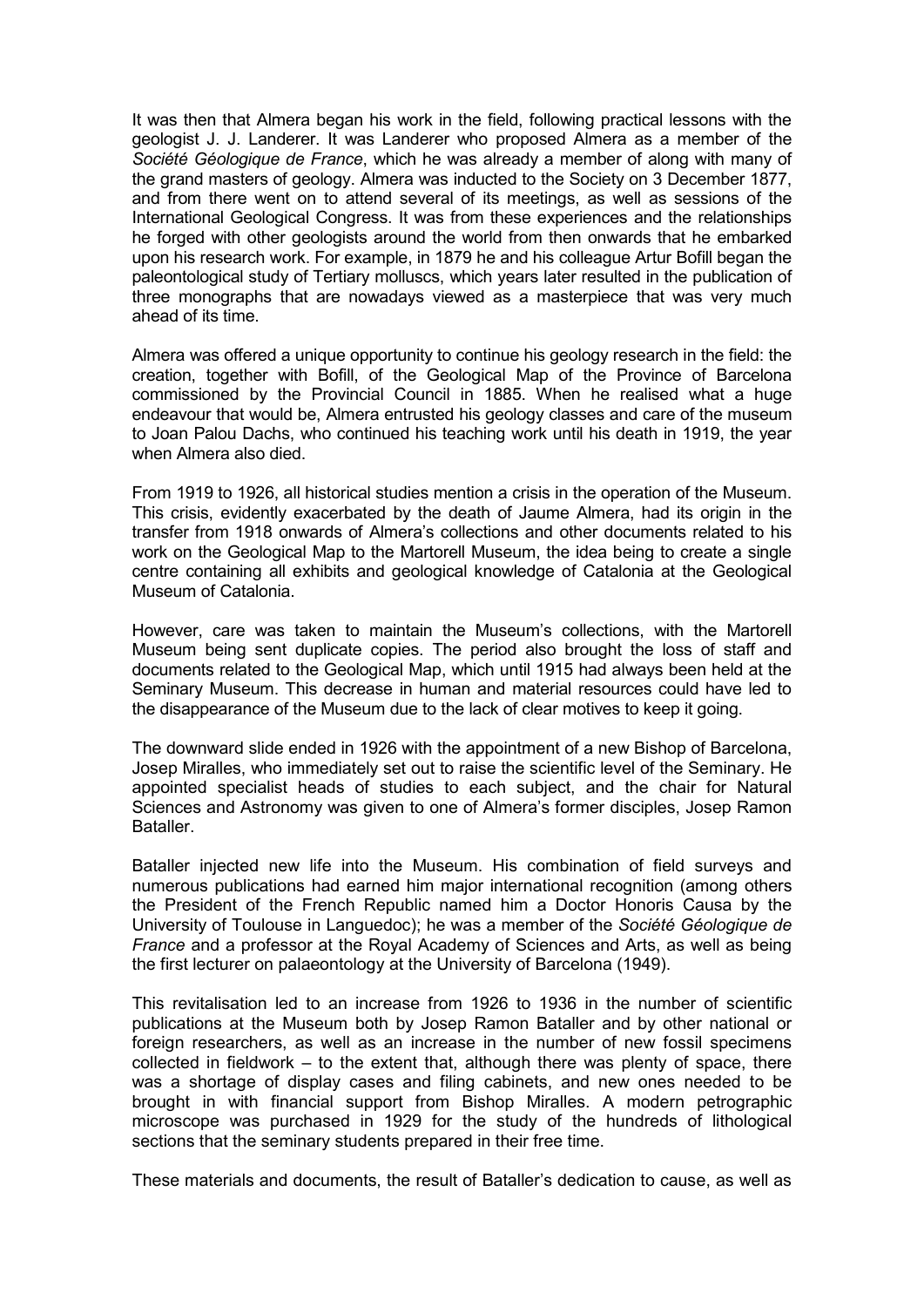It was then that Almera began his work in the field, following practical lessons with the geologist J. J. Landerer. It was Landerer who proposed Almera as a member of the Société Géologique de France, which he was already a member of along with many of the grand masters of geology. Almera was inducted to the Society on 3 December 1877, and from there went on to attend several of its meetings, as well as sessions of the International Geological Congress. It was from these experiences and the relationships he forged with other geologists around the world from then onwards that he embarked upon his research work. For example, in 1879 he and his colleague Artur Bofill began the paleontological study of Tertiary molluscs, which years later resulted in the publication of three monographs that are nowadays viewed as a masterpiece that was very much ahead of its time.

Almera was offered a unique opportunity to continue his geology research in the field: the creation, together with Bofill, of the Geological Map of the Province of Barcelona commissioned by the Provincial Council in 1885. When he realised what a huge endeavour that would be, Almera entrusted his geology classes and care of the museum to Joan Palou Dachs, who continued his teaching work until his death in 1919, the year when Almera also died.

From 1919 to 1926, all historical studies mention a crisis in the operation of the Museum. This crisis, evidently exacerbated by the death of Jaume Almera, had its origin in the transfer from 1918 onwards of Almera's collections and other documents related to his work on the Geological Map to the Martorell Museum, the idea being to create a single centre containing all exhibits and geological knowledge of Catalonia at the Geological Museum of Catalonia.

However, care was taken to maintain the Museum's collections, with the Martorell Museum being sent duplicate copies. The period also brought the loss of staff and documents related to the Geological Map, which until 1915 had always been held at the Seminary Museum. This decrease in human and material resources could have led to the disappearance of the Museum due to the lack of clear motives to keep it going.

The downward slide ended in 1926 with the appointment of a new Bishop of Barcelona, Josep Miralles, who immediately set out to raise the scientific level of the Seminary. He appointed specialist heads of studies to each subject, and the chair for Natural Sciences and Astronomy was given to one of Almera's former disciples, Josep Ramon Bataller.

Bataller injected new life into the Museum. His combination of field surveys and numerous publications had earned him major international recognition (among others the President of the French Republic named him a Doctor Honoris Causa by the University of Toulouse in Languedoc); he was a member of the Société Géologique de France and a professor at the Royal Academy of Sciences and Arts, as well as being the first lecturer on palaeontology at the University of Barcelona (1949).

This revitalisation led to an increase from 1926 to 1936 in the number of scientific publications at the Museum both by Josep Ramon Bataller and by other national or foreign researchers, as well as an increase in the number of new fossil specimens  $collected$  in fieldwork – to the extent that, although there was plenty of space, there was a shortage of display cases and filing cabinets, and new ones needed to be brought in with financial support from Bishop Miralles. A modern petrographic microscope was purchased in 1929 for the study of the hundreds of lithological sections that the seminary students prepared in their free time.

These materials and documents, the result of Bataller's dedication to cause, as well as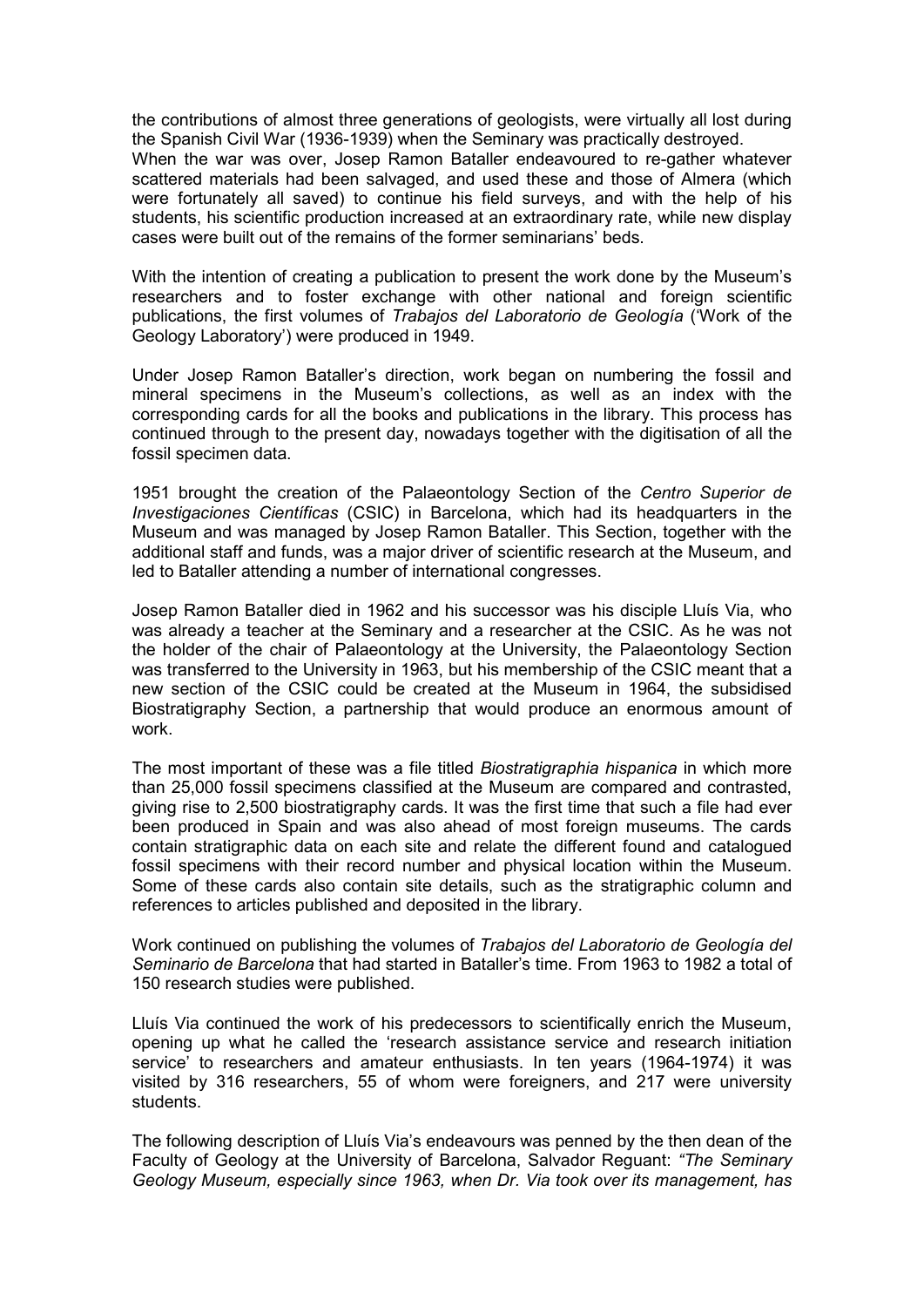the contributions of almost three generations of geologists, were virtually all lost during the Spanish Civil War (1936-1939) when the Seminary was practically destroyed.

When the war was over, Josep Ramon Bataller endeavoured to re-gather whatever scattered materials had been salvaged, and used these and those of Almera (which were fortunately all saved) to continue his field surveys, and with the help of his students, his scientific production increased at an extraordinary rate, while new display cases were built out of the remains of the former seminarians' beds.

With the intention of creating a publication to present the work done by the Museum's researchers and to foster exchange with other national and foreign scientific publications, the first volumes of Trabajos del Laboratorio de Geología ('Work of the Geology Laboratory') were produced in 1949.

Under Josep Ramon Bataller's direction, work began on numbering the fossil and mineral specimens in the Museum's collections, as well as an index with the corresponding cards for all the books and publications in the library. This process has continued through to the present day, nowadays together with the digitisation of all the fossil specimen data.

1951 brought the creation of the Palaeontology Section of the Centro Superior de Investigaciones Científicas (CSIC) in Barcelona, which had its headquarters in the Museum and was managed by Josep Ramon Bataller. This Section, together with the additional staff and funds, was a major driver of scientific research at the Museum, and led to Bataller attending a number of international congresses.

Josep Ramon Bataller died in 1962 and his successor was his disciple Lluís Via, who was already a teacher at the Seminary and a researcher at the CSIC. As he was not the holder of the chair of Palaeontology at the University, the Palaeontology Section was transferred to the University in 1963, but his membership of the CSIC meant that a new section of the CSIC could be created at the Museum in 1964, the subsidised Biostratigraphy Section, a partnership that would produce an enormous amount of work.

The most important of these was a file titled *Biostratigraphia hispanica* in which more than 25,000 fossil specimens classified at the Museum are compared and contrasted, giving rise to 2,500 biostratigraphy cards. It was the first time that such a file had ever been produced in Spain and was also ahead of most foreign museums. The cards contain stratigraphic data on each site and relate the different found and catalogued fossil specimens with their record number and physical location within the Museum. Some of these cards also contain site details, such as the stratigraphic column and references to articles published and deposited in the library.

Work continued on publishing the volumes of Trabajos del Laboratorio de Geología del Seminario de Barcelona that had started in Bataller's time. From 1963 to 1982 a total of 150 research studies were published.

Lluís Via continued the work of his predecessors to scientifically enrich the Museum, opening up what he called the 'research assistance service and research initiation service' to researchers and amateur enthusiasts. In ten years (1964-1974) it was visited by 316 researchers, 55 of whom were foreigners, and 217 were university students.

The following description of Lluís Via's endeavours was penned by the then dean of the Faculty of Geology at the University of Barcelona, Salvador Reguant: "The Seminary Geology Museum, especially since 1963, when Dr. Via took over its management, has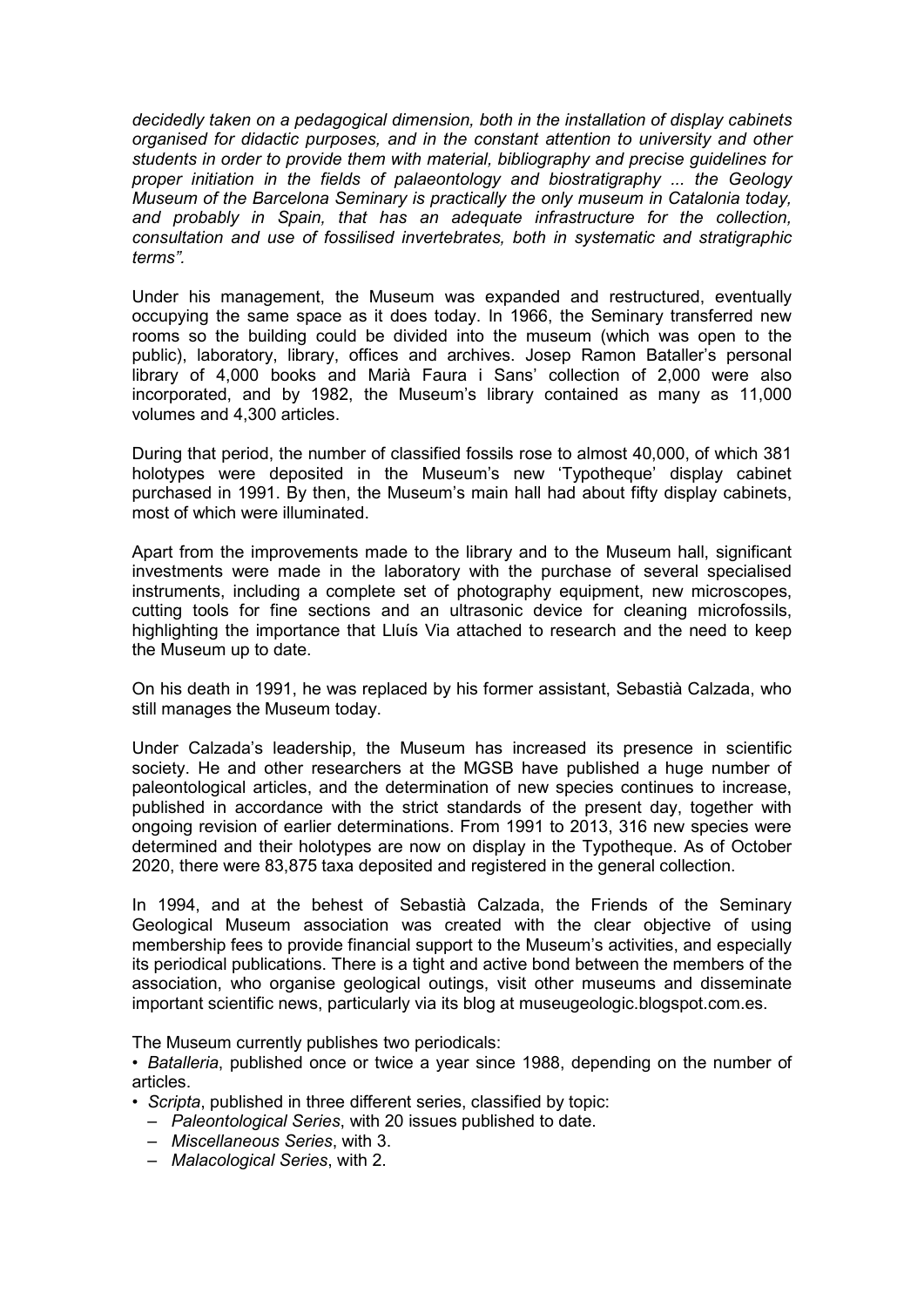decidedly taken on a pedagogical dimension, both in the installation of display cabinets organised for didactic purposes, and in the constant attention to university and other students in order to provide them with material, bibliography and precise guidelines for proper initiation in the fields of palaeontology and biostratigraphy ... the Geology Museum of the Barcelona Seminary is practically the only museum in Catalonia today, and probably in Spain, that has an adequate infrastructure for the collection, consultation and use of fossilised invertebrates, both in systematic and stratigraphic terms".

Under his management, the Museum was expanded and restructured, eventually occupying the same space as it does today. In 1966, the Seminary transferred new rooms so the building could be divided into the museum (which was open to the public), laboratory, library, offices and archives. Josep Ramon Bataller's personal library of 4,000 books and Marià Faura i Sans' collection of 2,000 were also incorporated, and by 1982, the Museum's library contained as many as 11,000 volumes and 4,300 articles.

During that period, the number of classified fossils rose to almost 40,000, of which 381 holotypes were deposited in the Museum's new 'Typotheque' display cabinet purchased in 1991. By then, the Museum's main hall had about fifty display cabinets, most of which were illuminated.

Apart from the improvements made to the library and to the Museum hall, significant investments were made in the laboratory with the purchase of several specialised instruments, including a complete set of photography equipment, new microscopes, cutting tools for fine sections and an ultrasonic device for cleaning microfossils, highlighting the importance that Lluís Via attached to research and the need to keep the Museum up to date.

On his death in 1991, he was replaced by his former assistant, Sebastià Calzada, who still manages the Museum today.

Under Calzada's leadership, the Museum has increased its presence in scientific society. He and other researchers at the MGSB have published a huge number of paleontological articles, and the determination of new species continues to increase, published in accordance with the strict standards of the present day, together with ongoing revision of earlier determinations. From 1991 to 2013, 316 new species were determined and their holotypes are now on display in the Typotheque. As of October 2020, there were 83,875 taxa deposited and registered in the general collection.

In 1994, and at the behest of Sebastià Calzada, the Friends of the Seminary Geological Museum association was created with the clear objective of using membership fees to provide financial support to the Museum's activities, and especially its periodical publications. There is a tight and active bond between the members of the association, who organise geological outings, visit other museums and disseminate important scientific news, particularly via its blog at museugeologic.blogspot.com.es.

The Museum currently publishes two periodicals:

• Batalleria, published once or twice a year since 1988, depending on the number of articles.

- Scripta, published in three different series, classified by topic:
	- Paleontological Series, with 20 issues published to date.
	- Miscellaneous Series, with 3.
	- Malacological Series, with 2.